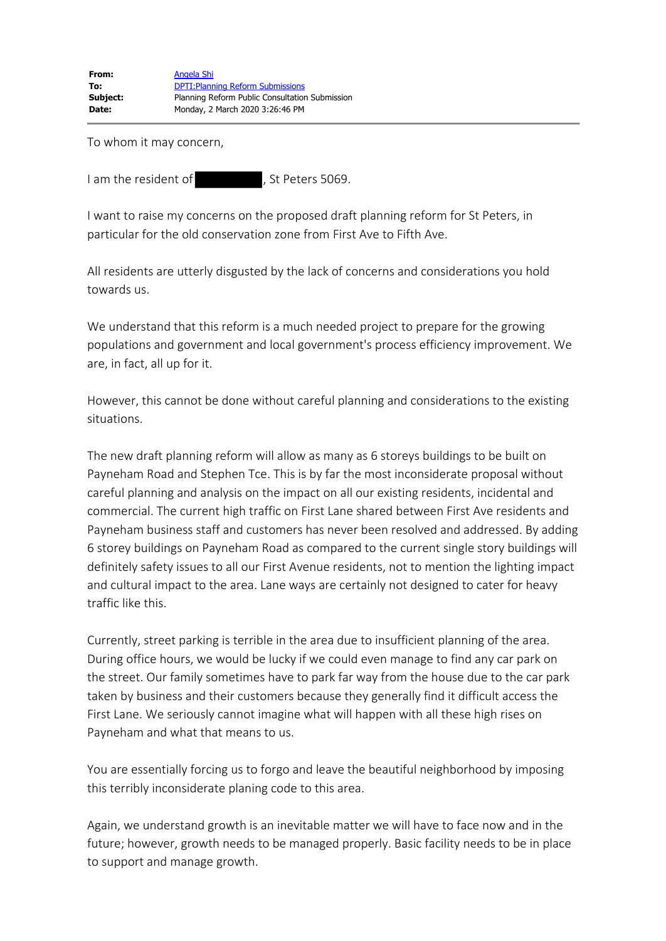To whom it may concern,

I am the resident of , St Peters 5069.

I want to raise my concerns on the proposed draft planning reform for St Peters, in particular for the old conservation zone from First Ave to Fifth Ave.

All residents are utterly disgusted by the lack of concerns and considerations you hold towards us.

We understand that this reform is a much needed project to prepare for the growing populations and government and local government's process efficiency improvement. We are, in fact, all up for it.

However, this cannot be done without careful planning and considerations to the existing situations.

The new draft planning reform will allow as many as 6 storeys buildings to be built on Payneham Road and Stephen Tce. This is by far the most inconsiderate proposal without careful planning and analysis on the impact on all our existing residents, incidental and commercial. The current high traffic on First Lane shared between First Ave residents and Payneham business staff and customers has never been resolved and addressed. By adding 6 storey buildings on Payneham Road as compared to the current single story buildings will definitely safety issues to all our First Avenue residents, not to mention the lighting impact and cultural impact to the area. Lane ways are certainly not designed to cater for heavy traffic like this.

Currently, street parking is terrible in the area due to insufficient planning of the area. During office hours, we would be lucky if we could even manage to find any car park on the street. Our family sometimes have to park far way from the house due to the car park taken by business and their customers because they generally find it difficult access the First Lane. We seriously cannot imagine what will happen with all these high rises on Payneham and what that means to us.

You are essentially forcing us to forgo and leave the beautiful neighborhood by imposing this terribly inconsiderate planing code to this area.

Again, we understand growth is an inevitable matter we will have to face now and in the future; however, growth needs to be managed properly. Basic facility needs to be in place to support and manage growth.